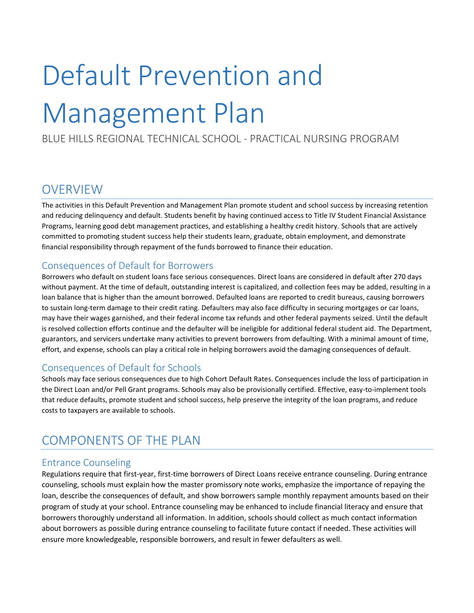# Default Prevention and Management Plan

BLUE HILLS REGIONAL TECHNICAL SCHOOL - PRACTICAL NURSING PROGRAM

## **OVERVIEW**

The activities in this Default Prevention and Management Plan promote student and school success by increasing retention and reducing delinquency and default. Students benefit by having continued access to Title IV Student Financial Assistance Programs, learning good debt management practices, and establishing a healthy credit history. Schools that are actively committed to promoting student success help their students learn, graduate, obtain employment, and demonstrate financial responsibility through repayment of the funds borrowed to finance their education.

### Consequences of Default for Borrowers

Borrowers who default on student loans face serious consequences. Direct loans are considered in default after 270 days without payment. At the time of default, outstanding interest is capitalized, and collection fees may be added, resulting in a loan balance that is higher than the amount borrowed. Defaulted loans are reported to credit bureaus, causing borrowers to sustain long-term damage to their credit rating. Defaulters may also face difficulty in securing mortgages or car loans, may have their wages garnished, and their federal income tax refunds and other federal payments seized. Until the default is resolved collection efforts continue and the defaulter will be ineligible for additional federal student aid. The Department, guarantors, and servicers undertake many activities to prevent borrowers from defaulting. With a minimal amount of time, effort, and expense, schools can play a critical role in helping borrowers avoid the damaging consequences of default.

### Consequences of Default for Schools

Schools may face serious consequences due to high Cohort Default Rates. Consequences include the loss of participation in the Direct Loan and/or Pell Grant programs. Schools may also be provisionally certified. Effective, easy-to-implement tools that reduce defaults, promote student and school success, help preserve the integrity of the loan programs, and reduce costs to taxpayers are available to schools.

## COMPONENTS OF THE PLAN

#### Entrance Counseling

Regulations require that first-year, first-time borrowers of Direct Loans receive entrance counseling. During entrance counseling, schools must explain how the master promissory note works, emphasize the importance of repaying the loan, describe the consequences of default, and show borrowers sample monthly repayment amounts based on their program of study at your school. Entrance counseling may be enhanced to include financial literacy and ensure that borrowers thoroughly understand all information. In addition, schools should collect as much contact information about borrowers as possible during entrance counseling to facilitate future contact if needed. These activities will ensure more knowledgeable, responsible borrowers, and result in fewer defaulters as well.